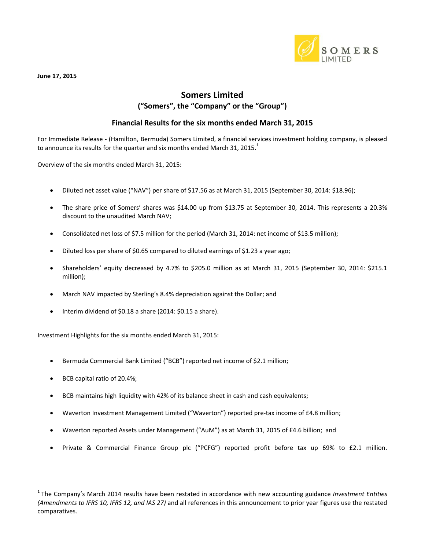

**June 17, 2015**

### **Somers Limited ("Somers", the "Company" or the "Group")**

#### **Financial Results for the six months ended March 31, 2015**

For Immediate Release - (Hamilton, Bermuda) Somers Limited, a financial services investment holding company, is pleased to announce its results for the quarter and six months ended March 31, 2015. $^{\text{1}}$ 

Overview of the six months ended March 31, 2015:

- Diluted net asset value ("NAV") per share of \$17.56 as at March 31, 2015 (September 30, 2014: \$18.96);
- The share price of Somers' shares was \$14.00 up from \$13.75 at September 30, 2014. This represents a 20.3% discount to the unaudited March NAV;
- Consolidated net loss of \$7.5 million for the period (March 31, 2014: net income of \$13.5 million);
- Diluted loss per share of \$0.65 compared to diluted earnings of \$1.23 a year ago;
- Shareholders' equity decreased by 4.7% to \$205.0 million as at March 31, 2015 (September 30, 2014: \$215.1 million);
- March NAV impacted by Sterling's 8.4% depreciation against the Dollar; and
- Interim dividend of \$0.18 a share (2014: \$0.15 a share).

Investment Highlights for the six months ended March 31, 2015:

- Bermuda Commercial Bank Limited ("BCB") reported net income of \$2.1 million;
- BCB capital ratio of 20.4%;
- BCB maintains high liquidity with 42% of its balance sheet in cash and cash equivalents;
- Waverton Investment Management Limited ("Waverton") reported pre-tax income of £4.8 million;
- Waverton reported Assets under Management ("AuM") as at March 31, 2015 of £4.6 billion; and
- Private & Commercial Finance Group plc ("PCFG") reported profit before tax up 69% to £2.1 million.

<sup>1</sup>The Company's March 2014 results have been restated in accordance with new accounting guidance *Investment Entities (Amendments to IFRS 10, IFRS 12, and IAS 27)* and all references in this announcement to prior year figures use the restated comparatives.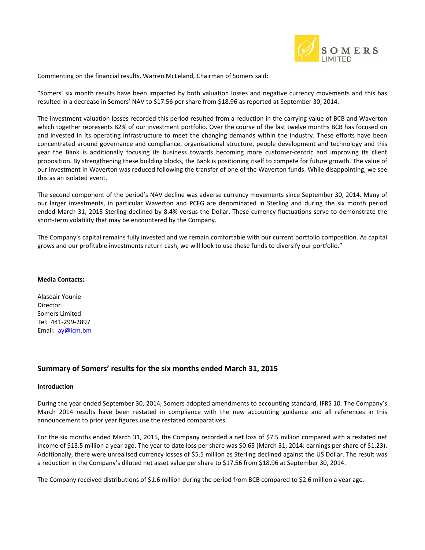

Commenting on the financial results, Warren McLeland, Chairman of Somers said:

"Somers' six month results have been impacted by both valuation losses and negative currency movements and this has resulted in a decrease in Somers' NAV to \$17.56 per share from \$18.96 as reported at September 30, 2014.

The investment valuation losses recorded this period resulted from a reduction in the carrying value of BCB and Waverton which together represents 82% of our investment portfolio. Over the course of the last twelve months BCB has focused on and invested in its operating infrastructure to meet the changing demands within the industry. These efforts have been concentrated around governance and compliance, organisational structure, people development and technology and this year the Bank is additionally focusing its business towards becoming more customer-centric and improving its client proposition. By strengthening these building blocks, the Bank is positioning itself to compete for future growth. The value of our investment in Waverton was reduced following the transfer of one of the Waverton funds. While disappointing, we see this as an isolated event.

The second component of the period's NAV decline was adverse currency movements since September 30, 2014. Many of our larger investments, in particular Waverton and PCFG are denominated in Sterling and during the six month period ended March 31, 2015 Sterling declined by 8.4% versus the Dollar. These currency fluctuations serve to demonstrate the short-term volatility that may be encountered by the Company.

The Company's capital remains fully invested and we remain comfortable with our current portfolio composition. As capital grows and our profitable investments return cash, we will look to use these funds to diversify our portfolio."

#### **Media Contacts:**

Alasdair Younie Director Somers Limited Tel: 441-299-2897 Email: [ay@icm.bm](mailto:ay@icm.bm)

#### **Summary of Somers' results for the six months ended March 31, 2015**

#### **Introduction**

During the year ended September 30, 2014, Somers adopted amendments to accounting standard, IFRS 10. The Company's March 2014 results have been restated in compliance with the new accounting guidance and all references in this announcement to prior year figures use the restated comparatives.

For the six months ended March 31, 2015, the Company recorded a net loss of \$7.5 million compared with a restated net income of \$13.5 million a year ago. The year to date loss per share was \$0.65 (March 31, 2014: earnings per share of \$1.23). Additionally, there were unrealised currency losses of \$5.5 million as Sterling declined against the US Dollar. The result was a reduction in the Company's diluted net asset value per share to \$17.56 from \$18.96 at September 30, 2014.

The Company received distributions of \$1.6 million during the period from BCB compared to \$2.6 million a year ago.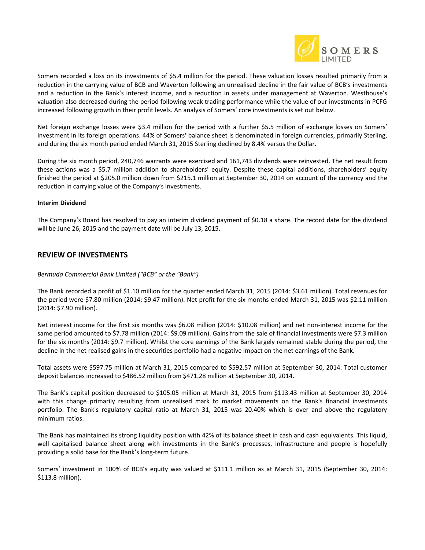

Somers recorded a loss on its investments of \$5.4 million for the period. These valuation losses resulted primarily from a reduction in the carrying value of BCB and Waverton following an unrealised decline in the fair value of BCB's investments and a reduction in the Bank's interest income, and a reduction in assets under management at Waverton. Westhouse's valuation also decreased during the period following weak trading performance while the value of our investments in PCFG increased following growth in their profit levels. An analysis of Somers' core investments is set out below.

Net foreign exchange losses were \$3.4 million for the period with a further \$5.5 million of exchange losses on Somers' investment in its foreign operations. 44% of Somers' balance sheet is denominated in foreign currencies, primarily Sterling, and during the six month period ended March 31, 2015 Sterling declined by 8.4% versus the Dollar.

During the six month period, 240,746 warrants were exercised and 161,743 dividends were reinvested. The net result from these actions was a \$5.7 million addition to shareholders' equity. Despite these capital additions, shareholders' equity finished the period at \$205.0 million down from \$215.1 million at September 30, 2014 on account of the currency and the reduction in carrying value of the Company's investments.

#### **Interim Dividend**

The Company's Board has resolved to pay an interim dividend payment of \$0.18 a share. The record date for the dividend will be June 26, 2015 and the payment date will be July 13, 2015.

#### **REVIEW OF INVESTMENTS**

#### *Bermuda Commercial Bank Limited ("BCB" or the "Bank")*

The Bank recorded a profit of \$1.10 million for the quarter ended March 31, 2015 (2014: \$3.61 million). Total revenues for the period were \$7.80 million (2014: \$9.47 million). Net profit for the six months ended March 31, 2015 was \$2.11 million (2014: \$7.90 million).

Net interest income for the first six months was \$6.08 million (2014: \$10.08 million) and net non-interest income for the same period amounted to \$7.78 million (2014: \$9.09 million). Gains from the sale of financial investments were \$7.3 million for the six months (2014: \$9.7 million). Whilst the core earnings of the Bank largely remained stable during the period, the decline in the net realised gains in the securities portfolio had a negative impact on the net earnings of the Bank.

Total assets were \$597.75 million at March 31, 2015 compared to \$592.57 million at September 30, 2014. Total customer deposit balances increased to \$486.52 million from \$471.28 million at September 30, 2014.

The Bank's capital position decreased to \$105.05 million at March 31, 2015 from \$113.43 million at September 30, 2014 with this change primarily resulting from unrealised mark to market movements on the Bank's financial investments portfolio. The Bank's regulatory capital ratio at March 31, 2015 was 20.40% which is over and above the regulatory minimum ratios.

The Bank has maintained its strong liquidity position with 42% of its balance sheet in cash and cash equivalents. This liquid, well capitalised balance sheet along with investments in the Bank's processes, infrastructure and people is hopefully providing a solid base for the Bank's long-term future.

Somers' investment in 100% of BCB's equity was valued at \$111.1 million as at March 31, 2015 (September 30, 2014: \$113.8 million).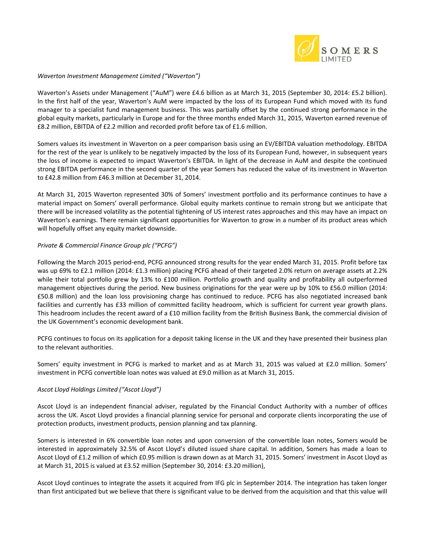

#### *Waverton Investment Management Limited ("Waverton")*

Waverton's Assets under Management ("AuM") were £4.6 billion as at March 31, 2015 (September 30, 2014: £5.2 billion). In the first half of the year, Waverton's AuM were impacted by the loss of its European Fund which moved with its fund manager to a specialist fund management business. This was partially offset by the continued strong performance in the global equity markets, particularly in Europe and for the three months ended March 31, 2015, Waverton earned revenue of £8.2 million, EBITDA of £2.2 million and recorded profit before tax of £1.6 million.

Somers values its investment in Waverton on a peer comparison basis using an EV/EBITDA valuation methodology. EBITDA for the rest of the year is unlikely to be negatively impacted by the loss of its European Fund, however, in subsequent years the loss of income is expected to impact Waverton's EBITDA. In light of the decrease in AuM and despite the continued strong EBITDA performance in the second quarter of the year Somers has reduced the value of its investment in Waverton to £42.8 million from £46.3 million at December 31, 2014.

At March 31, 2015 Waverton represented 30% of Somers' investment portfolio and its performance continues to have a material impact on Somers' overall performance. Global equity markets continue to remain strong but we anticipate that there will be increased volatility as the potential tightening of US interest rates approaches and this may have an impact on Waverton's earnings. There remain significant opportunities for Waverton to grow in a number of its product areas which will hopefully offset any equity market downside.

#### *Private & Commercial Finance Group plc ("PCFG")*

Following the March 2015 period-end, PCFG announced strong results for the year ended March 31, 2015. Profit before tax was up 69% to £2.1 million (2014: £1.3 million) placing PCFG ahead of their targeted 2.0% return on average assets at 2.2% while their total portfolio grew by 13% to £100 million. Portfolio growth and quality and profitability all outperformed management objectives during the period. New business originations for the year were up by 10% to £56.0 million (2014: £50.8 million) and the loan loss provisioning charge has continued to reduce. PCFG has also negotiated increased bank facilities and currently has £33 million of committed facility headroom, which is sufficient for current year growth plans. This headroom includes the recent award of a £10 million facility from the British Business Bank, the commercial division of the UK Government's economic development bank.

PCFG continues to focus on its application for a deposit taking license in the UK and they have presented their business plan to the relevant authorities.

Somers' equity investment in PCFG is marked to market and as at March 31, 2015 was valued at £2.0 million. Somers' investment in PCFG convertible loan notes was valued at £9.0 million as at March 31, 2015.

#### *Ascot Lloyd Holdings Limited ("Ascot Lloyd")*

Ascot Lloyd is an independent financial adviser, regulated by the Financial Conduct Authority with a number of offices across the UK. Ascot Lloyd provides a financial planning service for personal and corporate clients incorporating the use of protection products, investment products, pension planning and tax planning.

Somers is interested in 6% convertible loan notes and upon conversion of the convertible loan notes, Somers would be interested in approximately 32.5% of Ascot Lloyd's diluted issued share capital. In addition, Somers has made a loan to Ascot Lloyd of £1.2 million of which £0.95 million is drawn down as at March 31, 2015. Somers' investment in Ascot Lloyd as at March 31, 2015 is valued at £3.52 million (September 30, 2014: £3.20 million),

Ascot Lloyd continues to integrate the assets it acquired from IFG plc in September 2014. The integration has taken longer than first anticipated but we believe that there is significant value to be derived from the acquisition and that this value will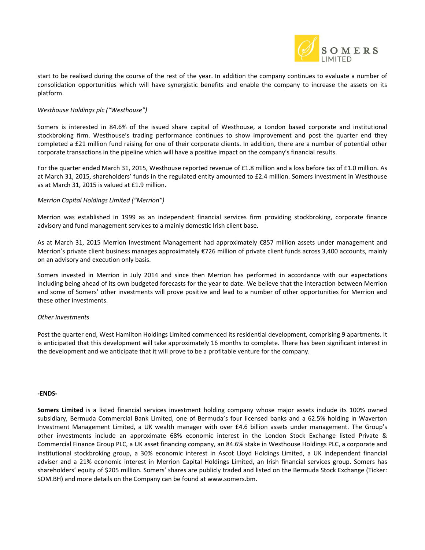

start to be realised during the course of the rest of the year. In addition the company continues to evaluate a number of consolidation opportunities which will have synergistic benefits and enable the company to increase the assets on its platform.

#### *Westhouse Holdings plc ("Westhouse")*

Somers is interested in 84.6% of the issued share capital of Westhouse, a London based corporate and institutional stockbroking firm. Westhouse's trading performance continues to show improvement and post the quarter end they completed a £21 million fund raising for one of their corporate clients. In addition, there are a number of potential other corporate transactions in the pipeline which will have a positive impact on the company's financial results.

For the quarter ended March 31, 2015, Westhouse reported revenue of £1.8 million and a loss before tax of £1.0 million. As at March 31, 2015, shareholders' funds in the regulated entity amounted to £2.4 million. Somers investment in Westhouse as at March 31, 2015 is valued at £1.9 million.

#### *Merrion Capital Holdings Limited ("Merrion")*

Merrion was established in 1999 as an independent financial services firm providing stockbroking, corporate finance advisory and fund management services to a mainly domestic Irish client base.

As at March 31, 2015 Merrion Investment Management had approximately €857 million assets under management and Merrion's private client business manages approximately €726 million of private client funds across 3,400 accounts, mainly on an advisory and execution only basis.

Somers invested in Merrion in July 2014 and since then Merrion has performed in accordance with our expectations including being ahead of its own budgeted forecasts for the year to date. We believe that the interaction between Merrion and some of Somers' other investments will prove positive and lead to a number of other opportunities for Merrion and these other investments.

#### *Other Investments*

Post the quarter end, West Hamilton Holdings Limited commenced its residential development, comprising 9 apartments. It is anticipated that this development will take approximately 16 months to complete. There has been significant interest in the development and we anticipate that it will prove to be a profitable venture for the company.

#### **-ENDS-**

**Somers Limited** is a listed financial services investment holding company whose major assets include its 100% owned subsidiary, Bermuda Commercial Bank Limited, one of Bermuda's four licensed banks and a 62.5% holding in Waverton Investment Management Limited, a UK wealth manager with over £4.6 billion assets under management. The Group's other investments include an approximate 68% economic interest in the London Stock Exchange listed Private & Commercial Finance Group PLC, a UK asset financing company, an 84.6% stake in Westhouse Holdings PLC, a corporate and institutional stockbroking group, a 30% economic interest in Ascot Lloyd Holdings Limited, a UK independent financial adviser and a 21% economic interest in Merrion Capital Holdings Limited, an Irish financial services group. Somers has shareholders' equity of \$205 million. Somers' shares are publicly traded and listed on the Bermuda Stock Exchange (Ticker: SOM.BH) and more details on the Company can be found at [www.somers.bm.](http://www.somers.bm/)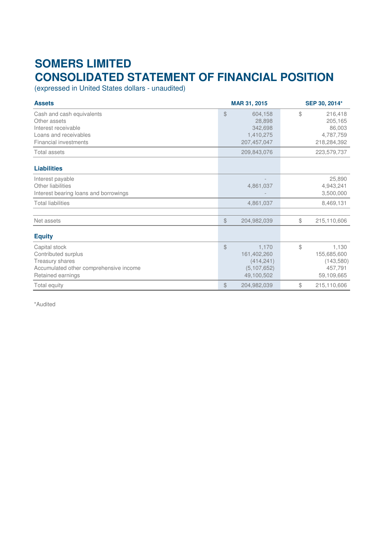# **SOMERS LIMITED CONSOLIDATED STATEMENT OF FINANCIAL POSITION**

(expressed in United States dollars - unaudited)

| <b>Assets</b>                                                                                                             | MAR 31, 2015                                                            | SEP 30, 2014*                                                    |  |
|---------------------------------------------------------------------------------------------------------------------------|-------------------------------------------------------------------------|------------------------------------------------------------------|--|
| Cash and cash equivalents<br>Other assets<br>Interest receivable<br>Loans and receivables<br><b>Financial investments</b> | \$<br>604,158<br>28,898<br>342,698<br>1,410,275<br>207, 457, 047        | \$<br>216,418<br>205,165<br>86,003<br>4,787,759<br>218,284,392   |  |
| <b>Total assets</b>                                                                                                       | 209,843,076                                                             | 223,579,737                                                      |  |
| <b>Liabilities</b>                                                                                                        |                                                                         |                                                                  |  |
| Interest payable<br>Other liabilities<br>Interest bearing loans and borrowings                                            | 4,861,037                                                               | 25,890<br>4,943,241<br>3,500,000                                 |  |
| <b>Total liabilities</b>                                                                                                  | 4,861,037                                                               | 8,469,131                                                        |  |
| Net assets                                                                                                                | $\frac{1}{2}$<br>204,982,039                                            | \$<br>215,110,606                                                |  |
| <b>Equity</b>                                                                                                             |                                                                         |                                                                  |  |
| Capital stock<br>Contributed surplus<br>Treasury shares<br>Accumulated other comprehensive income<br>Retained earnings    | \$<br>1,170<br>161,402,260<br>(414, 241)<br>(5, 107, 652)<br>49,100,502 | \$<br>1,130<br>155,685,600<br>(143,580)<br>457,791<br>59,109,665 |  |
| Total equity                                                                                                              | \$<br>204,982,039                                                       | $$\mathbb{S}$$<br>215,110,606                                    |  |

\*Audited